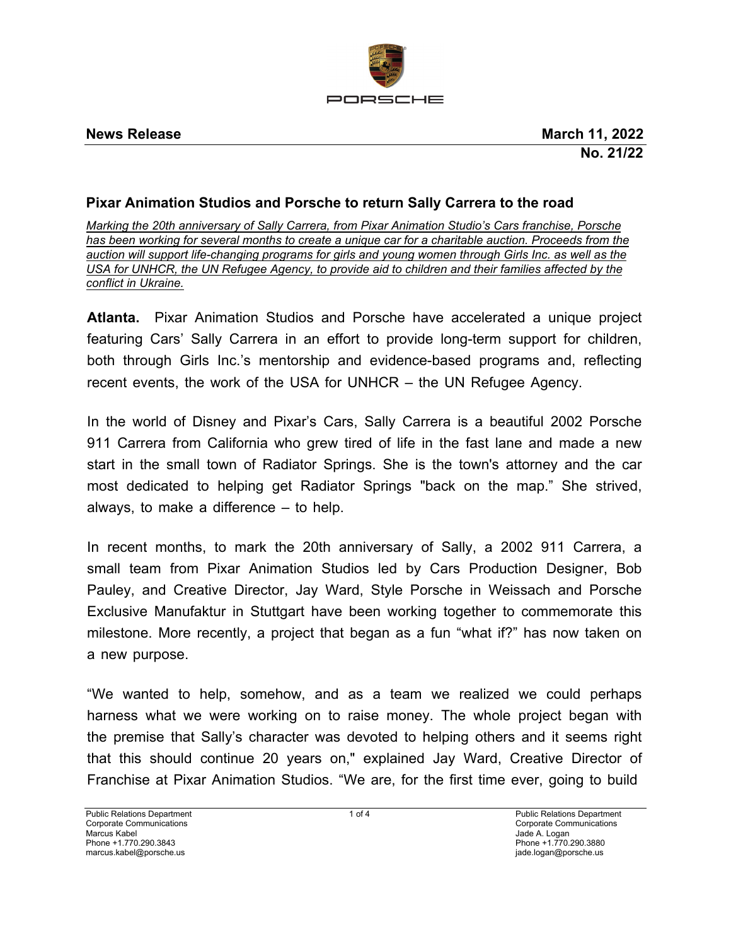

# **Pixar Animation Studios and Porsche to return Sally Carrera to the road**

*Marking the 20th anniversary of Sally Carrera, from Pixar Animation Studio's Cars franchise, Porsche has been working for several months to create a unique car for a charitable auction. Proceeds from the auction will support life-changing programs for girls and young women through Girls Inc. as well as the USA for UNHCR, the UN Refugee Agency, to provide aid to children and their families affected by the conflict in Ukraine.*

**Atlanta.** Pixar Animation Studios and Porsche have accelerated a unique project featuring Cars' Sally Carrera in an effort to provide long-term support for children, both through Girls Inc.'s mentorship and evidence-based programs and, reflecting recent events, the work of the USA for UNHCR – the UN Refugee Agency.

In the world of Disney and Pixar's Cars, Sally Carrera is a beautiful 2002 Porsche 911 Carrera from California who grew tired of life in the fast lane and made a new start in the small town of Radiator Springs. She is the town's attorney and the car most dedicated to helping get Radiator Springs "back on the map." She strived, always, to make a difference – to help.

In recent months, to mark the 20th anniversary of Sally, a 2002 911 Carrera, a small team from Pixar Animation Studios led by Cars Production Designer, Bob Pauley, and Creative Director, Jay Ward, Style Porsche in Weissach and Porsche Exclusive Manufaktur in Stuttgart have been working together to commemorate this milestone. More recently, a project that began as a fun "what if?" has now taken on a new purpose.

"We wanted to help, somehow, and as a team we realized we could perhaps harness what we were working on to raise money. The whole project began with the premise that Sally's character was devoted to helping others and it seems right that this should continue 20 years on," explained Jay Ward, Creative Director of Franchise at Pixar Animation Studios. "We are, for the first time ever, going to build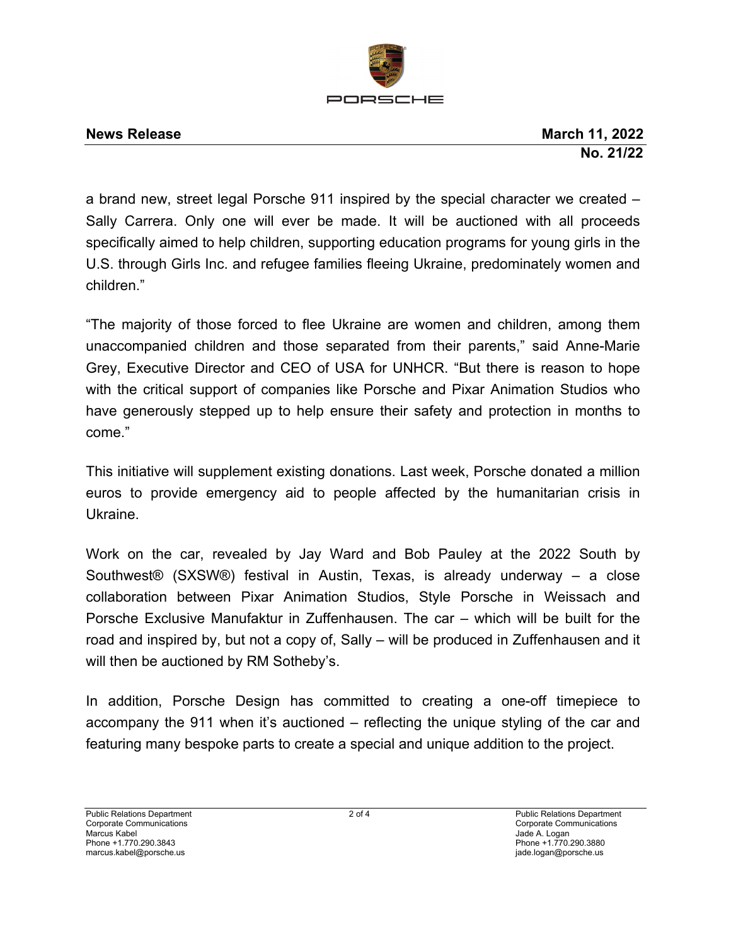

a brand new, street legal Porsche 911 inspired by the special character we created – Sally Carrera. Only one will ever be made. It will be auctioned with all proceeds specifically aimed to help children, supporting education programs for young girls in the U.S. through Girls Inc. and refugee families fleeing Ukraine, predominately women and children."

"The majority of those forced to flee Ukraine are women and children, among them unaccompanied children and those separated from their parents," said Anne-Marie Grey, Executive Director and CEO of USA for UNHCR. "But there is reason to hope with the critical support of companies like Porsche and Pixar Animation Studios who have generously stepped up to help ensure their safety and protection in months to come."

This initiative will supplement existing donations. Last week, Porsche donated a million euros to provide emergency aid to people affected by the humanitarian crisis in Ukraine.

Work on the car, revealed by Jay Ward and Bob Pauley at the 2022 South by Southwest® (SXSW®) festival in Austin, Texas, is already underway – a close collaboration between Pixar Animation Studios, Style Porsche in Weissach and Porsche Exclusive Manufaktur in Zuffenhausen. The car – which will be built for the road and inspired by, but not a copy of, Sally – will be produced in Zuffenhausen and it will then be auctioned by RM Sotheby's.

In addition, Porsche Design has committed to creating a one-off timepiece to accompany the 911 when it's auctioned – reflecting the unique styling of the car and featuring many bespoke parts to create a special and unique addition to the project.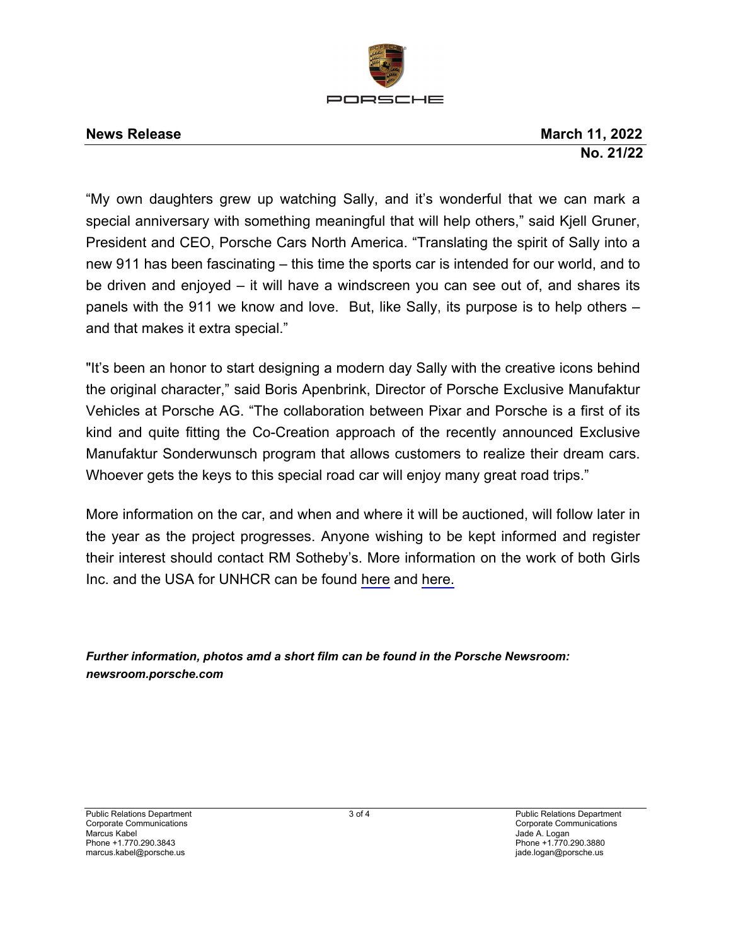

**News Release March 11, 2022 No. 21/22** 

"My own daughters grew up watching Sally, and it's wonderful that we can mark a special anniversary with something meaningful that will help others," said Kjell Gruner, President and CEO, Porsche Cars North America. "Translating the spirit of Sally into a new 911 has been fascinating – this time the sports car is intended for our world, and to be driven and enjoyed – it will have a windscreen you can see out of, and shares its panels with the 911 we know and love. But, like Sally, its purpose is to help others – and that makes it extra special."

"It's been an honor to start designing a modern day Sally with the creative icons behind the original character," said Boris Apenbrink, Director of Porsche Exclusive Manufaktur Vehicles at Porsche AG. "The collaboration between Pixar and Porsche is a first of its kind and quite fitting the Co-Creation approach of the recently announced Exclusive Manufaktur Sonderwunsch program that allows customers to realize their dream cars. Whoever gets the keys to this special road car will enjoy many great road trips."

More information on the car, and when and where it will be auctioned, will follow later in the year as the project progresses. Anyone wishing to be kept informed and register their interest should contact RM Sotheby's. More information on the work of both Girls Inc. and the USA for UNHCR can be found [here](https://girlsinc.org/) and [here.](https://www.unhcr.org/en-us/ukraine-emergency.html)

*Further information, photos amd a short film can be found in the Porsche Newsroom: newsroom.porsche.com*